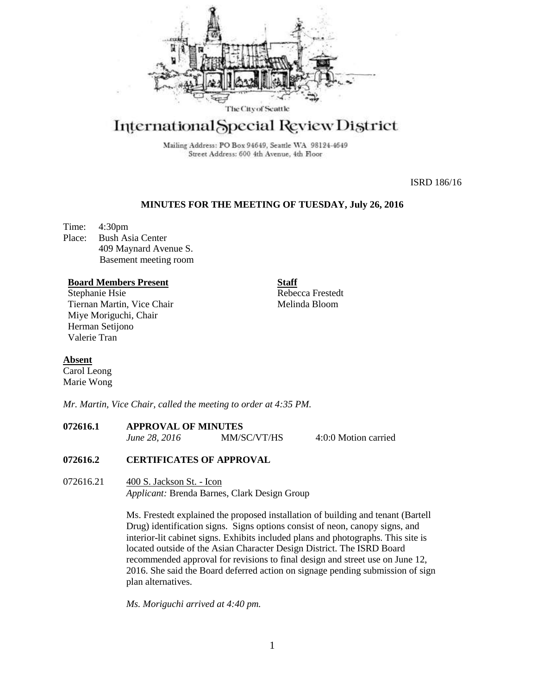

# International Special Review District

Mailing Address: PO Box 94649, Seattle WA 98124-4649 Street Address: 600 4th Avenue, 4th Floor

ISRD 186/16

## **MINUTES FOR THE MEETING OF TUESDAY, July 26, 2016**

Time: 4:30pm Place: Bush Asia Center 409 Maynard Avenue S. Basement meeting room

## **Board Members Present**

Stephanie Hsie Tiernan Martin, Vice Chair Miye Moriguchi, Chair Herman Setijono Valerie Tran

**Staff** Rebecca Frestedt Melinda Bloom

## **Absent**

Carol Leong Marie Wong

*Mr. Martin, Vice Chair, called the meeting to order at 4:35 PM.* 

# **072616.1 APPROVAL OF MINUTES**

*June 28, 2016* MM/SC/VT/HS 4:0:0 Motion carried

## **072616.2 CERTIFICATES OF APPROVAL**

072616.21 400 S. Jackson St. - Icon *Applicant:* Brenda Barnes, Clark Design Group

> Ms. Frestedt explained the proposed installation of building and tenant (Bartell Drug) identification signs. Signs options consist of neon, canopy signs, and interior-lit cabinet signs. Exhibits included plans and photographs. This site is located outside of the Asian Character Design District. The ISRD Board recommended approval for revisions to final design and street use on June 12, 2016. She said the Board deferred action on signage pending submission of sign plan alternatives.

*Ms. Moriguchi arrived at 4:40 pm.*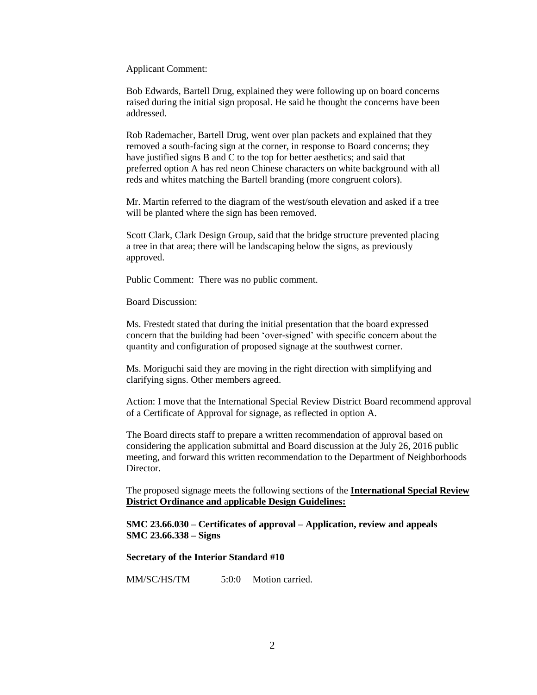Applicant Comment:

Bob Edwards, Bartell Drug, explained they were following up on board concerns raised during the initial sign proposal. He said he thought the concerns have been addressed.

Rob Rademacher, Bartell Drug, went over plan packets and explained that they removed a south-facing sign at the corner, in response to Board concerns; they have justified signs B and C to the top for better aesthetics; and said that preferred option A has red neon Chinese characters on white background with all reds and whites matching the Bartell branding (more congruent colors).

Mr. Martin referred to the diagram of the west/south elevation and asked if a tree will be planted where the sign has been removed.

Scott Clark, Clark Design Group, said that the bridge structure prevented placing a tree in that area; there will be landscaping below the signs, as previously approved.

Public Comment: There was no public comment.

Board Discussion:

Ms. Frestedt stated that during the initial presentation that the board expressed concern that the building had been 'over-signed' with specific concern about the quantity and configuration of proposed signage at the southwest corner.

Ms. Moriguchi said they are moving in the right direction with simplifying and clarifying signs. Other members agreed.

Action: I move that the International Special Review District Board recommend approval of a Certificate of Approval for signage, as reflected in option A.

The Board directs staff to prepare a written recommendation of approval based on considering the application submittal and Board discussion at the July 26, 2016 public meeting, and forward this written recommendation to the Department of Neighborhoods Director.

The proposed signage meets the following sections of the **International Special Review District Ordinance and** a**pplicable Design Guidelines:**

**SMC 23.66.030 – Certificates of approval – Application, review and appeals SMC 23.66.338 – Signs**

#### **Secretary of the Interior Standard #10**

MM/SC/HS/TM 5:0:0 Motion carried.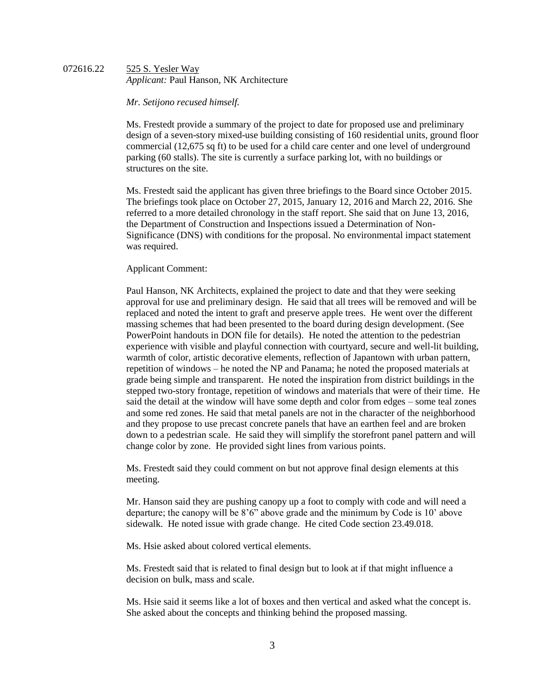#### 072616.22 525 S. Yesler Way *Applicant:* Paul Hanson, NK Architecture

#### *Mr. Setijono recused himself.*

Ms. Frestedt provide a summary of the project to date for proposed use and preliminary design of a seven-story mixed-use building consisting of 160 residential units, ground floor commercial (12,675 sq ft) to be used for a child care center and one level of underground parking (60 stalls). The site is currently a surface parking lot, with no buildings or structures on the site.

Ms. Frestedt said the applicant has given three briefings to the Board since October 2015. The briefings took place on October 27, 2015, January 12, 2016 and March 22, 2016. She referred to a more detailed chronology in the staff report. She said that on June 13, 2016, the Department of Construction and Inspections issued a Determination of Non-Significance (DNS) with conditions for the proposal. No environmental impact statement was required.

## Applicant Comment:

Paul Hanson, NK Architects, explained the project to date and that they were seeking approval for use and preliminary design. He said that all trees will be removed and will be replaced and noted the intent to graft and preserve apple trees. He went over the different massing schemes that had been presented to the board during design development. (See PowerPoint handouts in DON file for details). He noted the attention to the pedestrian experience with visible and playful connection with courtyard, secure and well-lit building, warmth of color, artistic decorative elements, reflection of Japantown with urban pattern, repetition of windows – he noted the NP and Panama; he noted the proposed materials at grade being simple and transparent. He noted the inspiration from district buildings in the stepped two-story frontage, repetition of windows and materials that were of their time. He said the detail at the window will have some depth and color from edges – some teal zones and some red zones. He said that metal panels are not in the character of the neighborhood and they propose to use precast concrete panels that have an earthen feel and are broken down to a pedestrian scale. He said they will simplify the storefront panel pattern and will change color by zone. He provided sight lines from various points.

Ms. Frestedt said they could comment on but not approve final design elements at this meeting.

Mr. Hanson said they are pushing canopy up a foot to comply with code and will need a departure; the canopy will be 8'6" above grade and the minimum by Code is 10' above sidewalk. He noted issue with grade change. He cited Code section 23.49.018.

Ms. Hsie asked about colored vertical elements.

Ms. Frestedt said that is related to final design but to look at if that might influence a decision on bulk, mass and scale.

Ms. Hsie said it seems like a lot of boxes and then vertical and asked what the concept is. She asked about the concepts and thinking behind the proposed massing.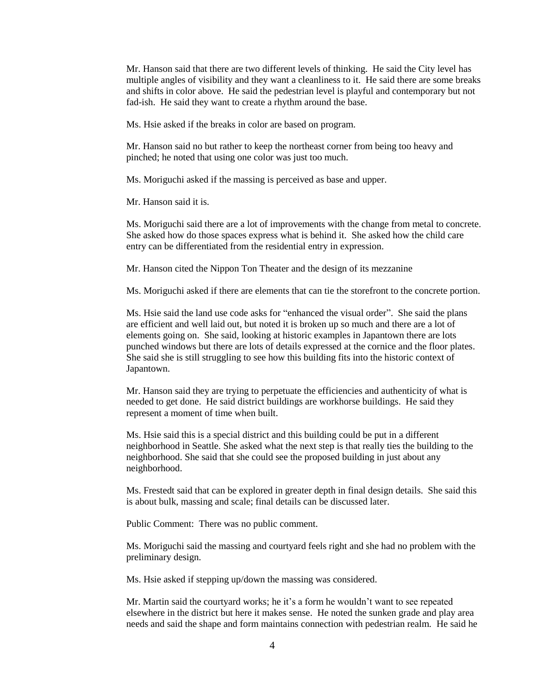Mr. Hanson said that there are two different levels of thinking. He said the City level has multiple angles of visibility and they want a cleanliness to it. He said there are some breaks and shifts in color above. He said the pedestrian level is playful and contemporary but not fad-ish. He said they want to create a rhythm around the base.

Ms. Hsie asked if the breaks in color are based on program.

Mr. Hanson said no but rather to keep the northeast corner from being too heavy and pinched; he noted that using one color was just too much.

Ms. Moriguchi asked if the massing is perceived as base and upper.

Mr. Hanson said it is.

Ms. Moriguchi said there are a lot of improvements with the change from metal to concrete. She asked how do those spaces express what is behind it. She asked how the child care entry can be differentiated from the residential entry in expression.

Mr. Hanson cited the Nippon Ton Theater and the design of its mezzanine

Ms. Moriguchi asked if there are elements that can tie the storefront to the concrete portion.

Ms. Hsie said the land use code asks for "enhanced the visual order". She said the plans are efficient and well laid out, but noted it is broken up so much and there are a lot of elements going on. She said, looking at historic examples in Japantown there are lots punched windows but there are lots of details expressed at the cornice and the floor plates. She said she is still struggling to see how this building fits into the historic context of Japantown.

Mr. Hanson said they are trying to perpetuate the efficiencies and authenticity of what is needed to get done. He said district buildings are workhorse buildings. He said they represent a moment of time when built.

Ms. Hsie said this is a special district and this building could be put in a different neighborhood in Seattle. She asked what the next step is that really ties the building to the neighborhood. She said that she could see the proposed building in just about any neighborhood.

Ms. Frestedt said that can be explored in greater depth in final design details. She said this is about bulk, massing and scale; final details can be discussed later.

Public Comment: There was no public comment.

Ms. Moriguchi said the massing and courtyard feels right and she had no problem with the preliminary design.

Ms. Hsie asked if stepping up/down the massing was considered.

Mr. Martin said the courtyard works; he it's a form he wouldn't want to see repeated elsewhere in the district but here it makes sense. He noted the sunken grade and play area needs and said the shape and form maintains connection with pedestrian realm. He said he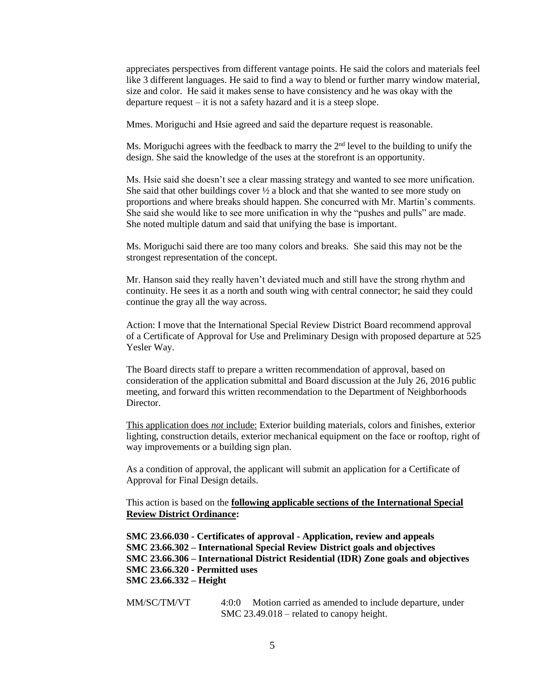appreciates perspectives from different vantage points. He said the colors and materials feel like 3 different languages. He said to find a way to blend or further marry window material, size and color. He said it makes sense to have consistency and he was okay with the departure request – it is not a safety hazard and it is a steep slope.

Mmes. Moriguchi and Hsie agreed and said the departure request is reasonable.

Ms. Moriguchi agrees with the feedback to marry the  $2<sup>nd</sup>$  level to the building to unify the design. She said the knowledge of the uses at the storefront is an opportunity.

Ms. Hsie said she doesn't see a clear massing strategy and wanted to see more unification. She said that other buildings cover  $\frac{1}{2}$  a block and that she wanted to see more study on proportions and where breaks should happen. She concurred with Mr. Martin's comments. She said she would like to see more unification in why the "pushes and pulls" are made. She noted multiple datum and said that unifying the base is important.

Ms. Moriguchi said there are too many colors and breaks. She said this may not be the strongest representation of the concept.

Mr. Hanson said they really haven't deviated much and still have the strong rhythm and continuity. He sees it as a north and south wing with central connector; he said they could continue the gray all the way across.

Action: I move that the International Special Review District Board recommend approval of a Certificate of Approval for Use and Preliminary Design with proposed departure at 525 Yesler Way.

The Board directs staff to prepare a written recommendation of approval, based on consideration of the application submittal and Board discussion at the July 26, 2016 public meeting, and forward this written recommendation to the Department of Neighborhoods Director.

This application does *not* include: Exterior building materials, colors and finishes, exterior lighting, construction details, exterior mechanical equipment on the face or rooftop, right of way improvements or a building sign plan.

As a condition of approval, the applicant will submit an application for a Certificate of Approval for Final Design details.

This action is based on the **following applicable sections of the International Special Review District Ordinance:** 

**SMC 23.66.030 - Certificates of approval - Application, review and appeals SMC 23.66.302 – International Special Review District goals and objectives SMC 23.66.306 – International District Residential (IDR) Zone goals and objectives SMC 23.66.320 - Permitted uses SMC 23.66.332 – Height**

MM/SC/TM/VT 4:0:0 Motion carried as amended to include departure, under SMC 23.49.018 – related to canopy height.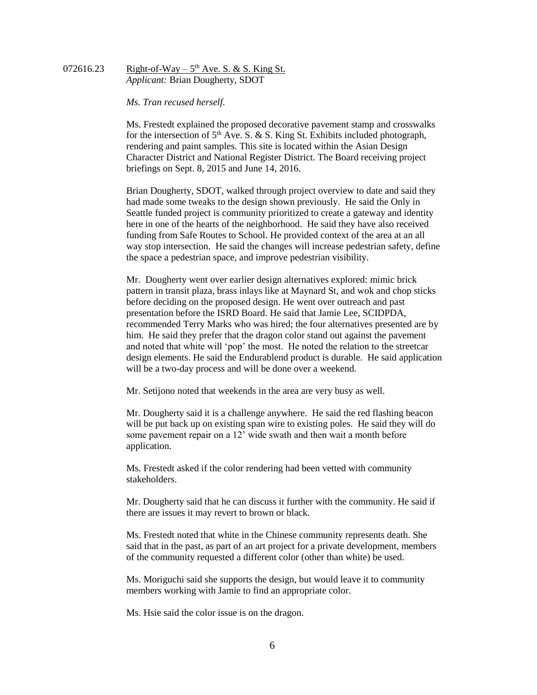## 072616.23 Right-of-Way –  $5<sup>th</sup>$  Ave. S. & S. King St. *Applicant:* Brian Dougherty, SDOT

*Ms. Tran recused herself.*

Ms. Frestedt explained the proposed decorative pavement stamp and crosswalks for the intersection of  $5<sup>th</sup>$  Ave. S. & S. King St. Exhibits included photograph, rendering and paint samples. This site is located within the Asian Design Character District and National Register District. The Board receiving project briefings on Sept. 8, 2015 and June 14, 2016.

Brian Dougherty, SDOT, walked through project overview to date and said they had made some tweaks to the design shown previously. He said the Only in Seattle funded project is community prioritized to create a gateway and identity here in one of the hearts of the neighborhood. He said they have also received funding from Safe Routes to School. He provided context of the area at an all way stop intersection. He said the changes will increase pedestrian safety, define the space a pedestrian space, and improve pedestrian visibility.

Mr. Dougherty went over earlier design alternatives explored: mimic brick pattern in transit plaza, brass inlays like at Maynard St, and wok and chop sticks before deciding on the proposed design. He went over outreach and past presentation before the ISRD Board. He said that Jamie Lee, SCIDPDA, recommended Terry Marks who was hired; the four alternatives presented are by him. He said they prefer that the dragon color stand out against the pavement and noted that white will 'pop' the most. He noted the relation to the streetcar design elements. He said the Endurablend product is durable. He said application will be a two-day process and will be done over a weekend.

Mr. Setijono noted that weekends in the area are very busy as well.

Mr. Dougherty said it is a challenge anywhere. He said the red flashing beacon will be put back up on existing span wire to existing poles. He said they will do some pavement repair on a 12' wide swath and then wait a month before application.

Ms. Frestedt asked if the color rendering had been vetted with community stakeholders.

Mr. Dougherty said that he can discuss it further with the community. He said if there are issues it may revert to brown or black.

Ms. Frestedt noted that white in the Chinese community represents death. She said that in the past, as part of an art project for a private development, members of the community requested a different color (other than white) be used.

Ms. Moriguchi said she supports the design, but would leave it to community members working with Jamie to find an appropriate color.

Ms. Hsie said the color issue is on the dragon.